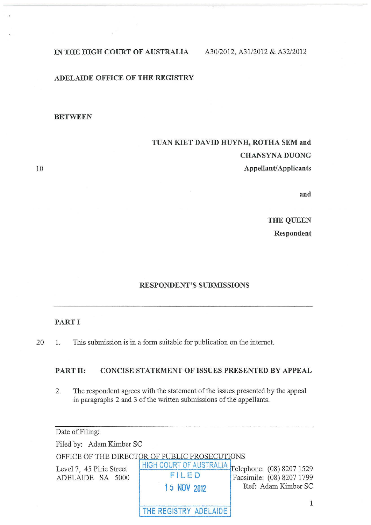## IN THE HIGH COURT OF AUSTRALIA A30/2012, A31/2012 & A32/2012

## ADELAIDE OFFICE OF THE REGISTRY

## BETWEEN

# TUAN KIET DAVID HUYNH, ROTHA SEM and CHANSYNA DUONG Appellant/Applicants

10

and

THE QUEEN Respondent

## RESPONDENT'S SUBMISSIONS

#### PART I

20 1. This submission is in a form suitable for publication on the internet.

## PART II: CONCISE STATEMENT OF ISSUES PRESENTED BY APPEAL

2. The respondent agrees with the statement of the issues presented by the appeal in paragraphs 2 and 3 of the written submissions of the appellants.

| Date of Filing:                              |                                                                           |                                                  |
|----------------------------------------------|---------------------------------------------------------------------------|--------------------------------------------------|
| Filed by: Adam Kimber SC                     |                                                                           |                                                  |
|                                              | OFFICE OF THE DIRECTOR OF PUBLIC PROSECUTIONS                             |                                                  |
| Level 7, 45 Pirie Street<br>ADELAIDE SA 5000 | HIGH COURT OF AUSTRALIA Telephone: (08) 8207 1529<br>FILED<br>15 NOV 2012 | Facsimile: (08) 8207 1799<br>Ref: Adam Kimber SC |
|                                              | THE REGISTRY ADELAIDE                                                     |                                                  |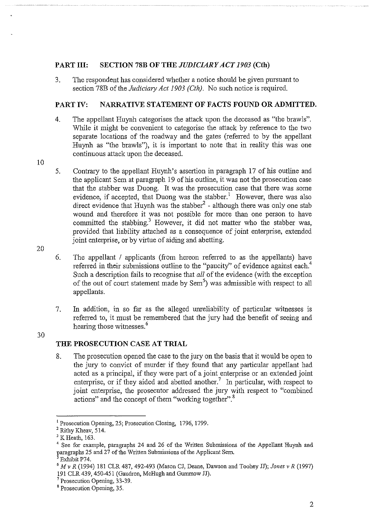## **PART III: SECTION 78B OF THE** *JUDICIARY ACT 1903* **(Cth)**

3. The respondent has considered whether a notice should be given pursuant to section 78B of the *Judiciary Act 1903 (Cth).* No such notice is required.

## **PART IV: NARRATIVE STATEMENT OF FACTS FOUND OR ADMITTED.**

- 4. The appellant Huynh categorises the attack upon the deceased as "the brawls". While it might be convenient to categorise the attack by reference to the two separate locations of the roadway and the gates (referred to by the appellant Huynh as "the brawls"), it is important to note that in reality this was one continuous attack upon the deceased.
- 10
- 5. Contrary to the appellant Huynh's assertion in paragraph 17 of his outline and the applicant Sem at paragraph 19 of his outline, it was not the prosecution case that the stabber was Duong. It was the prosecution case that there was some evidence, if accepted, that Duong was the stabber.<sup>1</sup> However, there was also direct evidence that Huynh was the stabber<sup>2</sup> - although there was only one stab wound and therefore it was not possible for more than one person to have committed the stabbing.<sup>3</sup> However, it did not matter who the stabber was, provided that liability attached as a consequence of joint enterprise, extended joint enterprise, or by virtue of aiding and abetting.
- 20

6. The appellant / applicants (from hereon referred to as the appellants) have referred in their submissions outline to the "paucity" of evidence against each.<sup>4</sup> Such a description fails to recognise that *all* of the evidence (with the exception of the out of court statement made by Sem<sup>5</sup>) was admissible with respect to all appellants.

7. In addition, in so far as the alleged unreliability of particular witnesses is referred to, it must be remembered that the jury had the benefit of seeing and hearing those witnesses.<sup>6</sup>

30

# **THE PROSECUTION CASE AT TRIAL**

8. The prosecution opened the case to the jury on the basis that it would be open to the jury to convict of murder if they found that any particular appellant had acted as a principal, if they were part of a joint enterprise or an extended joint enterprise, or if they aided and abetted another.<sup>7</sup> In particular, with respect to joint enterprise, the prosecutor addressed the jury with respect to "combined actions" and the concept of them "working together".<sup>8</sup>

<sup>&</sup>lt;sup>1</sup> Prosecution Opening, 25; Prosecution Closing, 1796, 1799.<br><sup>2</sup> Rithy Kheav, 514. <sup>3</sup> K Heath, 163. 4 See for example, paragraphs 24 and 26 of the Written Submissions of the Appellant Huynh and paragraphs 25 and 27 of the Written Submissions of the Applicant Sem.

<sup>&</sup>lt;sup>5</sup> Exhibit P74.<br><sup>6</sup> *M* v *R* (1994) 181 CLR 487, 492-493 (Mason CJ, Deane, Dawson and Toohey JJ); *Jones v R* (1997) 191 CLR 439, 450-451 (Gaudron, McHugh and Gummow JJ).<br><sup>7</sup> Prosecution Opening, 33-39.

<sup>8</sup> Prosecution Opening, 35.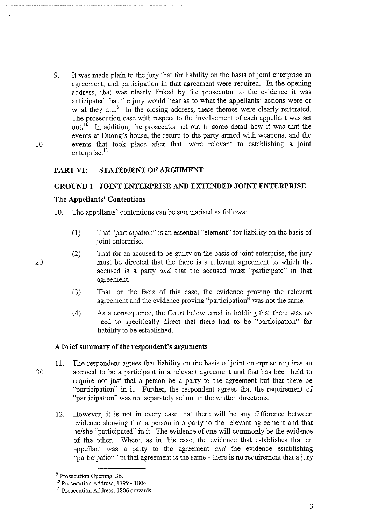9. It was made plain to the jury that for liability on the basis of joint enterprise an agreement, and participation in that agreement were required. In the opening address, that was clearly linked by the prosecutor to the evidence it was anticipated that the jury would hear as to what the appellants' actions were or what they did.<sup>9</sup> In the closing address, these themes were clearly reiterated. The prosecution case with respect to the involvement of each appellant was set out.<sup>10</sup> In addition, the prosecutor set out in some detail how it was that the In addition, the prosecutor set out in some detail how it was that the events at Duong's house, the return to the party armed with weapons, and the events that took place after that, were relevant to establishing a joint enterprise.<sup>11</sup>

## **PART VI: STATEMENT OF ARGUMENT**

#### **GROUND 1 - JOINT ENTERPRISE AND EXTENDED JOINT ENTERPRISE**

#### **The Appellants' Contentions**

- 10. The appellants' contentions can be summarised as follows:
	- (1) That "participation" is an essential "element" for liability on the basis of joint enterprise.
	- (2) That for an accused to be guilty on the basis of joint enterprise, the jury must be directed that the there is a relevant agreement to which the accused is a party *and* that the accused must "participate" in that agreement.
	- (3) That, on the facts of this case, the evidence proving the relevant agreement and the evidence proving "participation" was not the same.
	- ( 4) As a consequence, the Court below erred in holding that there was no need to specifically direct that there had to be "participation" for liability to be established.

#### **A brief summary of the respondent's arguments**

- 11. The respondent agrees that liability on the basis of joint enterprise requires an 3 0 accused to be a participant in a relevant agreement and that has been held to require not just that a person be a party to the agreement but that there be "participation" in it. Further, the respondent agrees that the requirement of "participation" was not separately set out in the written directions.
	- 12. However, it is not in every case that there will be any difference between evidence showing that a person is a party to the relevant agreement and that he/she "participated" in it. The evidence of one will commonly be the evidence of the other. Where, as in this case, the evidence that establishes that an appellant was a party to the agreement *and* the evidence establishing "participation" in that agreement is the same - there is no requirement that a jury

20

 $9$  Prosecution Opening, 36.<br><sup>10</sup> Prosecution Address, 1799 - 1804.

<sup>&</sup>lt;sup>11</sup> Prosecution Address, 1806 onwards.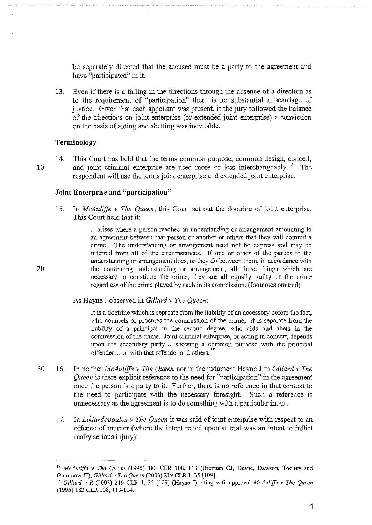be separately directed that the accused must be a party to the agreement and have "participated" in it.

13. Even if there is a failing in the directions through the absence of a direction as to the requirement of "participation" there is no substantial miscarriage of justice. Given that each appellant was present, if the jury followed the balance of the directions on joint enterprise (or extended joint enterprise) a conviction on the basis of aiding and abetting was inevitable.

#### **Terminology**

14. This Court has held that the terms common purpose, common design, concert, 10 and joint criminal enterprise are used more or less interchangeably.<sup>12</sup> The respondent will use the terms joint enterprise and extended joint enterprise.

## **Joint Enterprise and "participation"**

15. In *McAuliffe v The Queen,* this Court set out the doctrine of joint enterprise. This Court held that it:

... arises where a person reaches an understanding or arrangement amounting to an agreement between that person or another or others that they will commit a crime. The understanding or arrangement need not be express and may be inferred from all of the circumstances. If one or other of the parties to the understanding or arrangement does, or they do between them, in accordance with 20 the continuing understanding or arrangement, all those things which are necessary to constitute the crime, they are all equally guilty of the crime regardless of the crime played by each in its commission. (footnotes omitted)

As Hayne J observed in *Gillard v The Queen:* 

It is a doctrine which is separate from the liability of an accessory before the fact, who counsels or procures the commission of the crime; it is separate from the liability of a principal in the second degree, who aids and abets in the commission of the crime. Joint criminal enterprise, or acting in concert, depends upon the secondary party... showing a common purpose with the principal offender. .. or with that offender and others. *<sup>13</sup>*

- 30 16. In neither *McAuliffe v l11e Queen* nor in the judgment Hayne J in *Gillard v The Queen* is there explicit reference to the need for "participation" in the agreement once the person is a party to it. Further, there is no reference in that context to the need to participate with the necessary foresight. Such a reference is unnecessary as the agreement is to do something with a particular intent.
	- 17. In *Likiardopoulos v The Queen* it was said of joint enterprise with respect to an offence of murder (where the intent relied upon at trial was an intent to inflict really serious injury):

<sup>&</sup>lt;sup>12</sup> McAuliffe v The Queen (1995) 183 CLR 108, 113 (Brennan CJ, Deane, Dawson, Toohey and Gummow JJ); Gillard v The Queen (2003) 219 CLR 1, 35 [109].

Gillard v R (2003) 219 CLR 1, 35 [109] (Hayne J) citing with approval *McAuliffe v The Queen* (1995) 183 CLR 108, 113-114.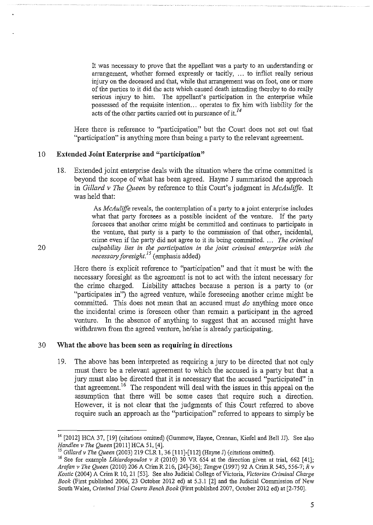It was necessary to prove that the appellant was a party to an understanding or arrangement, whether formed expressly or tacitly, ... to inflict really serious injury on the deceased and that, while that arrangement was on foot, one or more of the parties to it did the acts which caused death intending thereby to do really serious injury to him. The appellant's participation in the enterprise while possessed of the requisite intention ... operates to fix him with liability for the acts of the other parties carried out in pursuance of it.<sup>14</sup>

Here there is reference to "participation" but the Court does not set out that "participation" is anything more than being a party to the relevant agreement.

## **10 Extended Joint Enterprise and "participation"**

18. Extended joint enterprise deals with the situation where the crime committed is beyond the scope of what has been agreed. Hayne J summarised the approach in *Gillard v The Queen* by reference to this Conrt's judgment in *McAuliffe.* It was held that:

As *McAuliffe* reveals, the contemplation of a party to a joint enterprise includes what that party foresees as a possible incident of the venture. If the party foresees that another crime might be committed and continues to participate in the venture, that party is a party to the commission of that other, incidental, crime even if the party did not agree to it its being committed. . . . *The criminal*  20 *culpability lies in the participation in the joint criminal enterprise with the necessary foresight. <sup>15</sup>*(emphasis added)

> Here there is explicit reference to "participation" and that it must be with the necessary foresight as the agreement is not to act with the intent necessary for the crime charged. Liability attaches because a person is a party to (or "participates **in")** the agreed venture, while foreseeing another crime might be committed. This does not mean that an accused must *do* anything more once the incidental crime is foreseen other than remain a participant in the agreed venture. In the absence of anything to suggest that an accused might have withdrawn from the agreed venture, he/she is already participating.

## 30 **What the above has been seen as requiring in directions**

19. The above has been interpreted as requiring a jury to be directed that not only must there be a relevant agreement to which the accused is a party but that a jury must also be directed that it is necessary that the accused "participated" in that agreement. 16 The respondent will deal with the issues in this appeal on the assumption that there will be some cases that require such a direction. However, it is not clear that the judgments of this Court referred to above require such an approach as the "participation" referred to appears to simply be

<sup>&</sup>lt;sup>14</sup> [2012] HCA 37, [19] (citations omitted) (Gummow, Hayne, Crennan, Kiefel and Bell JJ). See also *Handlen v The Queen* [2011] HCA 51, [4].<br><sup>15</sup> Gillard v The Queen (2003) 219 CLR 1, 36 [111]-[112] (Hayne J) (citations omitted).

<sup>&</sup>lt;sup>16</sup> See for example *Likiardopoulos v R* (2010) 30 VR 654 at the direction given at trial, 662 [41]; *Arafan v The Queen* (2010) 206 A Crim R 216, [24]-[36]; *Tangye* (1997) 92 A Crirn R 545, 556-7; *R v Kostic* (2004) A Crirn R 10, 21 [53]. See also Judicial College of Victoria, *Victorian Criminal Charge Book* (First published 2006, 23 October 2012 ed) at 5.3.1 [2] and the Judicial Commission of New South Wales, *Criminal Trial Courts Bench Book* (First published 2007, October 2012 ed) at [2-750].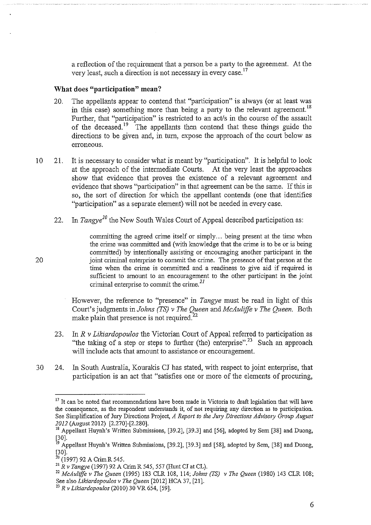a reflection of the requirement that a person be a party to the agreement. At the very least, such a direction is not necessary in every case. 17

## **What does "participation" mean?**

- 20. The appellants appear to contend that "participation" is always (or at least was in this case) something more than being a party to the relevant agreement.<sup>18</sup> Further, that "participation" is restricted to an act/s in the course of the assault of the deceased.<sup>19</sup> The appellants then contend that these things guide the directions to be given and, in tum, expose the approach of the court below as erroneous.
- 10 21. It is necessary to consider what is meant by "participation". It is helpful to look at the approach of the intermediate Courts. At the very least the approaches show that evidence that proves the existence of a relevant agreement and evidence that shows "participation" in that agreement can be the same. Ifthis is so, the sort of direction for which the appellant contends (one that identifies "participation" as a separate element) will not be needed in every case.
	- 22. In *Tangye*<sup>20</sup> the New South Wales Court of Appeal described participation as:

committing the agreed crime itself or simply... being present at the time when the crime was committed and (with knowledge that the crime is to be or is being committed) by intentionally assisting or encouraging another participant in the 20 joint criminal enterprise to commit the crime. The presence of that person at the time when the crime is committed and a readiness to give aid if required is sufficient to amount to an encouragement to the other participant in the joint criminal enterprise to commit the crime. *<sup>21</sup>*

> However, the reference to "presence" in *Tangye* must be read in light of this Court's judgments in *Johns (TS) v The Queen* and *McAuliffe v The Queen.* Both make plain that presence is not required.<sup>22</sup>

- 23. In *R v Likiardopoulos* the Victorian Court of Appeal referred to participation as "the taking of a step or steps to further (the) enterprise".<sup>23</sup> Such an approach will include acts that amount to assistance or encouragement.
- 30 24. In South Australia, Kourakis CJ has stated, with respect to joint enterprise, that participation is an act that "satisfies one or more of the elements of procuring,

<sup>&</sup>lt;sup>17</sup> It can be noted that recommendations have been made in Victoria to draft legislation that will have **the consequence, as the respondent understands it, of not requiring any direction as to participation.**  See Simplification of Jury Directions Project, *A Report to the Jwy Directions Advisory Group August 2012* (August 2012) [2.270]-[2.280].

<sup>&</sup>lt;sup>18</sup> Appellant Huynh's Written Submissions, [39.2], [39.3] and [56], adopted by Sem [38] and Duong, [30].

<sup>&</sup>lt;sup>19</sup> Appellant Huynh's Written Submissions, [39.2], [39.3] and [58], adopted by Sem, [38] and Duong,  $[30]$ .<br><sup>20</sup> (1997) 92 A Crim R 545.

<sup>20 (1997) 92</sup> A Crim R 545. 21 *R v Tangye* (1997) 92 A Crim R 545, 557 (Hunt CJ at CL). 22 *McAuliffe v The Queen* (1995) 183 CLR 108, 114; *Johns (TS) v The Queen* (1980) 143 CLR 108;

<sup>&</sup>lt;sup>23</sup> R v Likiardopoulos (2010) 30 VR 654, [59].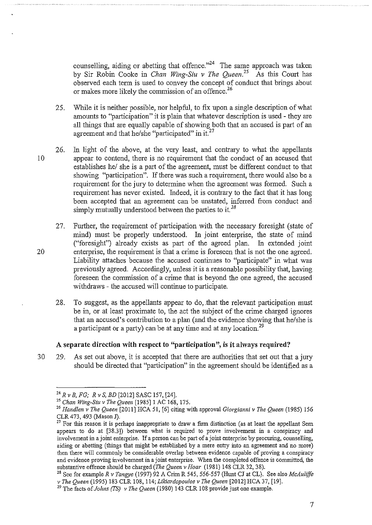counselling, aiding or abetting that offence."<sup>24</sup> The same approach was taken by Sir Robin Cooke in *Chan Wing-Siu v The Queen.*<sup>25</sup> As this Court has observed each term is used to convey the concept of conduct that brings about or makes more likely the commission of an offence.<sup>26</sup>

- 25. While it is neither possible, nor helpful, to fix upon a single description of what amounts to "participation" it is plain that whatever description is used- they are all things that are equally capable of showing both that an accused is part of an agreement and that he/she "participated" in it. $^{27}$
- 26. In light of the above, at the very least, and contrary to what the appellants 10 appear to contend, there is no requirement that the conduct of an accused that establishes he/ she is a part of the agreement, must be different conduct to that showing "participation". If there was such a requirement, there would also be a requirement for the jury to determine when the agreement was formed. Such a requirement has never existed. Indeed, it is contrary to the fact that it has long been accepted that an agreement can be unstated, inferred from conduct and simply mutually understood between the parties to it. *<sup>28</sup>*
- 27. Further, the requirement of participation with the necessary foresight (state of mind) must be properly understood. In joint enterprise, the state of mind ("foresight") already exists as part of the agreed plan. In extended joint 20 enterprise, the requirement is that a crime is foreseen that is not the one agreed. Liability attaches because the accused continues to "participate" in what was previously agreed. Accordingly, unless it is a reasonable possibility that, having foreseen the commission of a crime that is beyond the one agreed, the accused withdraws - the accused will continue to participate.
	- 28. To suggest, as the appellants appear to do, that the relevant participation must be in, or at least proximate to, the act the subject of the crime charged ignores that an accused's contribution to a plan (and the evidence showing that he/she is a participant or a party) can be at any time and at any location.<sup>29</sup>

## **A separate direction with respect to "participation", is it always required?**

30 29. As set out above, it is accepted that there are authorities that set out that a jury should be directed that "participation" in the agreement should be identified as a

<sup>24</sup>*R v B, FG; R v S, BD* [2012] SASC 157, [24]. 25 *Chan Wing-Siu v The Queen* [1985]1 AC 168, 175.

<sup>26</sup>*Hand/en v The Queen* [2011] RCA 51, [6] citing with approval *Giorgianni v The Queen* (1985) 156 CLR 473, 493 (Mason J).

 $27$  For this reason it is perhaps inappropriate to draw a firm distinction (as at least the appellant Sem appears to do at [38.3]) between what is required to prove involvement in a conspiracy and involvement in a joint enterprise. If a person can be part of a joint enterprise by procuring, counselling, aiding or abetting (things that might be established by a mere entry into an agreement and no more) then there will commonly be considerable overlap between evidence capable of proving a conspiracy and evidence proving involvement in a joint enterprise. When the completed offence is committed, the substantive offence should be charged *(The Queen v Hoar* (1981) 148 CLR 32, 38). <sup>28</sup> See for example *R v Tangye* (1997) 92 A Crim R 545, 556-557 (Hunt CJ at CL). See also *McAuliffe* 

*v The Queen* (1995) 183 CLR 108, 114; *Likiardopoulos v The Queen* [2012] RCA 37, [19].

<sup>29</sup> The facts of *Johns (TS) v The Queen* (1980) 143 CLR 108 provide just one example.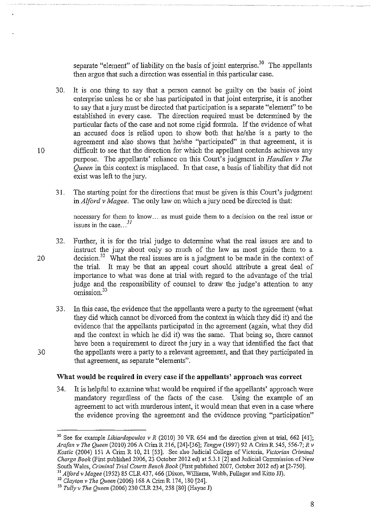separate "element" of liability on the basis of joint enterprise.<sup>30</sup> The appellants then argue that such a direction was essential in this particular case.

- 30. It is one thing to say that a person cannot be guilty on the basis of joint enterprise unless he or she has participated in that joint enterprise, **it** is another to say that a jury must be directed that participation is a separate "element" to be established in every case. The direction required must be determined by the particular facts of the case and not some rigid formula. If the evidence of what an accused does is relied upon to show both that he/she is a party to the agreement and also shows that he/she "participated" in that agreement, it is 10 difficult to see that the direction for which the appellant contends achieves any purpose. The appellants' reliance on this Court's judgment in *Hand/en v The Queen* in this context is misplaced. In that case, a basis of liability that did not exist was left to the jury.
	- 31. The starting point for the directions that must be given is this Court's judgment in *Alford v Magee.* The only law on which a jury need be directed is that:

necessary for them to know ... as must guide them to a decision on the real issue or issues in the case... $^{31}$ 

32. Further, it is for the trial judge to determine what the real issues are and to instruct the jury about only so much of the law as most guide them to a 20 decision.<sup>32</sup> What the real issues are is a judgment to be made in the context of the trial. It may be that an appeal court should attribute a great deal of importance to what was done at trial with regard to the advantage of the trial judge and the responsibility of counsel to draw the judge's attention to any omission<sup>33</sup>

33. In this case, the evidence that the appellants were a party to the agreement (what they did which cannot be divorced from the context in which they did it) and the evidence that the appellants participated in the agreement (again, what they did and the context in which he did it) was the same. That being so, there cannot have been a requirement to direct the jury in a way that identified the fact that 30 the appellants were a party to a relevant agreement, and that they participated in that agreement, as separate "elements".

## **What would be required in every case if the appellants' approach was correct**

34. It is helpful to examine what would be required if the appellants' approach were mandatory regardless of the facts of the case. Using the example of an agreement to act with murderous intent, it would mean that even in a case where the evidence proving the agreement and the evidence proving "participation"

<sup>&</sup>lt;sup>30</sup> See for example *Likiardopoulos v R* (2010) 30 VR 654 and the direction given at trial, 662 [41]; *Arafan v The Queen* (2010) 206 A Crim R 216, [24]-[36]; *Tangye* (1997) 92 A CrimR 545, 556-7; *R v Kostic* (2004) 151 A Crim R 10, 21 [53]. See also Judicial College of Victoria, *Victorian Criminal Charge Book* (First published 2006, 23 October 2012 ed) at 5.3.1 [2] and Judicial Commission of New South Wales, *Criminal Trial Courts Bench Book* (First published 2007, October 2012 ed) at [2-750].

<sup>31</sup>*Alford v Magee* (1952) 85 CLR 437, 466 (Dixon, Williams, Webb, Fullagar and Kitto JJ). 32 *Clayton v The Queen* (2006) 168 A Crim R 174, 180 [24].

<sup>33</sup>*Tully v The Queen* (2006) 230 CLR 234, 258 [80] (Hayne J)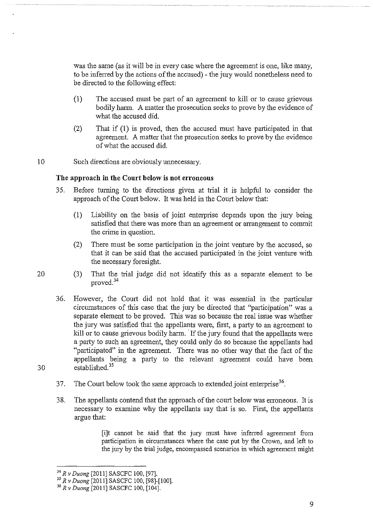was the same (as it will be in every case where the agreement is one, like many, to be inferred by the actions of the accused)- the jury would nonetheless need to be directed to the following effect:

- (I) The accused must be part of an agreement to kill or to cause grievous bodily harm. A matter the prosecution seeks to prove by the evidence of what the accused did.
- (2) That if (1) is proved, then the accused must have participated in that agreement. A matter that the prosecution seeks to prove by the evidence of what the accused did.
- 10 Such directions are obviously unnecessary.

20

#### **The approach in the Court below is not erroneous**

- 35. Before turning to the directions given at trial it is helpful to consider the approach of the Court below. It was held in the Court below that:
	- (!) Liability on the basis of joint enterprise depends upon the jury being satisfied that there was more than an agreement or arrangement to commit the crime in question.
	- (2) There must be some participation in the joint venture by the accused, so that it can be said that the accused participated in the joint venture with the necessary foresight.
- (3) That the trial judge did not identify this as a separate element to be proved.<sup>34</sup>
- 36. However, the Court did not hold that it was essential in the particular circumstances of this case that the jury be directed that "participation" was a separate element to be proved. This was so because the real issue was whether the jury was satisfied that the appellants were, first, a party to an agreement to kill or to cause grievous bodily harm. If the jury found that the appellants were a party to such an agreement, they could only do so because the appellants had "participated" in the agreement. There was no other way that the fact of the appellants being a party to the relevant agreement could have been 30 established?<sup>5</sup>
	- 37. The Court below took the same approach to extended joint enterprise<sup>36</sup>.
	- 38. The appellants contend that the approach of the court below was erroneous. It is necessary to examine why the appellants say that is so. First, the appellants argue that:

[i]t cannot be said that the jury must have inferred agreement from participation in circumstances where the case put by the Crown, and left to the jury by the trial judge, encompassed scenarios in which agreement might

<sup>34</sup>*R v Duong* [2011] SASCFC 100, [97]. 35 *R v Duong* [2011] SASCFC 100, [98]-[100].

<sup>36</sup>*R v Duong* [2011] SASCFC 100, [104].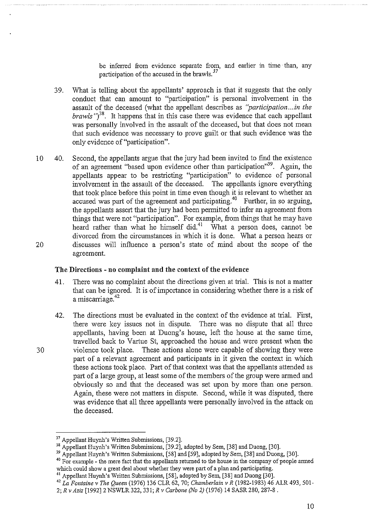be inferred from evidence separate from, and earlier in time than, any participation of the accused in the brawls.<sup>37</sup>

- 39. What is telling about the appellants' approach is that it suggests that the only conduct that can amount to "participation" is personal involvement in the assault of the deceased (what the appellant describes as *"participation ... in the brawls* " $i^{8}$ ". It happens that in this case there was evidence that each appellant was personally involved in the assault of the deceased, but that does not mean that such evidence was necessary to prove guilt or that such evidence was the only evidence of "participation".
- 10 40. Second, the appellants argue that the jury had been invited to find the existence of an agreement "based upon evidence other than participation"39. Again, the appellants appear to be restricting "participation" to evidence of personal involvement in the assault of the deceased. The appellants ignore everything involvement in the assault of the deceased. that took place before this point in time even though it is relevant to whether an accused was part of the agreement and participating.<sup>40</sup> Further, in so arguing, the appellants assert that the jury had been permitted to infer an agreement from things that were not "participation". For example, from things that he may have heard rather than what he himself did.<sup>41</sup> What a person does, cannot be divorced from the circumstances in which it is done. What a person hears or 20 discusses will influence a person's state of mind about the scope of the agreement.

#### **The Directions - no complaint and the context of the evidence**

- 41. There was no complaint about the directions given at trial. This is not a matter that can be ignored. It is of importance in considering whether there is a risk of a miscarriage.<sup>42</sup>
- 42. The directions must be evaluated in the context of the evidence at trial. First, there were key issues not in dispute. There was no dispute that all three appellants, having been at Duong's house, left the house at the same time, travelled back to Vartue St, approached the house and were present when the 30 violence took place. These actions alone were capable of showing they were part of a relevant agreement and participants in it given the context in which these actions took place. Part of that context was that the appellants attended as part of a large group, at least some of the members of the group were armed and obviously so and that the deceased was set upon by more than one person. Again, these were not matters in dispute. Second, while it was disputed, there was evidence that all three appellants were personally involved in the attack on the deceased.

<sup>&</sup>lt;sup>37</sup> Appellant Huynh's Written Submissions, [39.2].<br><sup>38</sup> Appellant Huynh's Written Submissions, [39.2], adopted by Sem, [38] and Duong, [30].<br><sup>39</sup> Appellant Huynh's Written Submissions, [58] and [59], adopted by Sem, [38]

<sup>&</sup>lt;sup>40</sup> For example - the mere fact that the appellants returned to the house in the company of people armed <sup>40</sup> which could show a great deal about whether they were part of a plan and participating.<br><sup>41</sup> Appellant Huynh's Written Submissions, [58], adopted by Sem, [38] and Duong [30].<br><sup>42</sup> La Fontaine v The Queen (1976) 136 CLR 62

<sup>2;</sup> *R v Aziz* [1992]2 NSWLR322, 331; *R v Carbone (No 2)* (1976) 14 SASR 280, 287-8.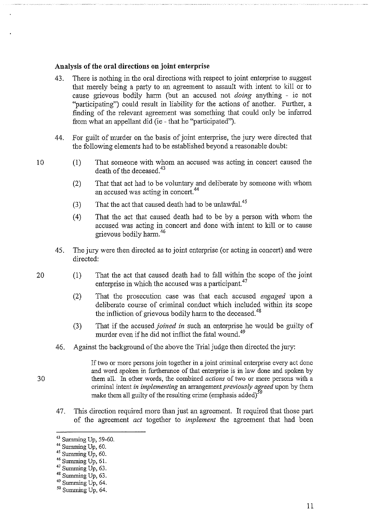#### **Analysis of the oral directions on joint enterprise**

- 43. There is nothing in the oral directions with respect to joint enterprise to suggest that merely being a party to an agreement to assault with intent to kill or to cause grievous bodily harm (but an accused not *doing* anything - ie not "participating") could result in liability for the actions of another. Further, a finding of the relevant agreement was something that could only be inferred from what an appellant did (ie - that he "participated").
- 44. For guilt of murder on the basis of joint enterprise, the jury were directed that the following elements had to be established beyond a reasonable doubt:
- (1) That someone with whom an accused was acting in concert caused the death of the deceased.  $43$ 
	- (2) That that act had to be voluntary and deliberate by someone with whom an accused was acting in concert.<sup>44</sup>
	- (3) That the act that caused death had to be unlawful.<sup>45</sup>
	- ( 4) That the act that caused death had to be by a person with whom the accused was acting in concert and done with intent to kill or to cause grievous bodily harm. 46
- 45. The jury were then directed as to joint enterprise (or acting in concert) and were directed:
- (1) That the act that caused death had to fall within the scope of the joint enterprise in which the accused was a participant.<sup>47</sup>
	- (2) That the prosecution case was that each accused *engaged* upon a deliberate course of criminal conduct which included within its scope the infliction of grievous bodily harm to the deceased.<sup>48</sup>
	- (3) That if the accused *joined in* such an enterprise he would be guilty of murder even if he did not inflict the fatal wound.<sup>49</sup>
	- 46. Against the background of the above the Trial judge then directed the jury:

If two or more persons join together in a joint criminal enterprise every act done and word spoken in furtherance of that enterprise is in law done and spoken by 30 them all. In other words, the combined *actions* of two or more persons with a criminal intent *in implementing* an arrangement *previously agreed* upon by them make them all guilty of the resulting crime (emphasis added)<sup>50</sup>

47. This direction required more than just an agreement. It required that those part of the agreement *act* together to *implement* the agreement that had been

20

<sup>&</sup>lt;sup>43</sup> Summing Up, 59-60.<br><sup>44</sup> Summing Up, 60.<br><sup>45</sup> Summing Up, 60.<br><sup>46</sup> Summing Up, 61.

<sup>&</sup>lt;sup>47</sup> Summing Up, 63.<br><sup>48</sup> Summing Up, 63.<br><sup>49</sup> Summing Up, 64.

 $50$  Summing Up, 64.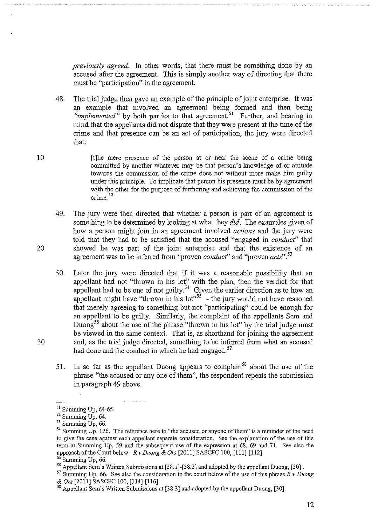*previously agreed.* In other words, that there must be something done by an accused after the agreement. This is simply another way of directing that there must be "participation" in the agreement.

48. The trial judge then gave an example of the principle of joint enterprise. It was an example that involved an agreement being formed and then being *"implemented"* by both parties to that agreement.<sup>51</sup> Further, and bearing in mind that the appellants did not dispute that they were present at the time of the crime and that presence can be an act of participation, the jury were directed that:

- 10 **EXECUTE:** It filhe mere presence of the person at or near the scene of a crime being committed by another whatever may be that person's lmowledge of or attitude towards the commission of the crime does not without more make him guilty under this principle. To implicate that person his presence must be by agreement with the other for the purpose of furthering and achieving the commission of the crime.<sup>52</sup>
- 49. The jury were then directed that whether a person is part of an agreement is something to be determined by looking at what they *did.* The examples given of how a person might join in an agreement involved *actions* and the jury were told that they had to be satisfied that the accused "engaged in *conduct"* that 20 showed he was part of the joint enterprise and that the existence of an agreement was to be inferred from "proven *conduct"* and "proven *acts".* <sup>53</sup>
- 50. Later the jury were directed that if it was a reasonable possibility that an appellant had not "thrown in his lot" with the plan, then the verdict for that appellant had to be one of not guilty.<sup>54</sup> Given the earlier direction as to how an appellant might have "thrown in his lot"<sup>55</sup> - the jury would not have reasoned that merely agreeing to something but not "participating" could be enough for an appellant to be guilty. Similarly, the complaint of the appellants Sem and Duong<sup>56</sup> about the use of the phrase "thrown in his lot" by the trial judge must be viewed in the same context. That is, as shorthand for joining the agreement 30 and, as the trial judge directed, something to be inferred from what an accused had done and the conduct in which he had engaged. $57$ 
	- 51. In so far as the appellant Duong appears to complain<sup>58</sup> about the use of the phrase "the accused or any one of them", the respondent repeats the submission in paragraph 49 above.

 $51$  Summing Up, 64-65.<br> $52$  Summing Up, 64.

 $53$  Summing Up, 66.

<sup>&</sup>lt;sup>54</sup> Summing Up, 126. The reference here to "the accused or anyone of them" is a reminder of the need to give the case against each appellant separate consideration. See the explanation of the use of this term at Summing Up, 59 and the subsequent use of the expression at 68, 69 and 71. See also the approach of the Court below - *R v Duong & Ors* [2011] SASCFC 100, [111]-[112]. *<sup>5</sup>*Summing Up, 66.

<sup>&</sup>lt;sup>56</sup> Appellant Sem's Written Submissions at [38.1]-[38.2] and adopted by the appellant Duong, [30].

<sup>&</sup>lt;sup>57</sup> Summing Up, 66. See also the consideration in the court below of the use of this phrase  $R \nu$  Duong  $\&$  Ors [2011] SASCFC 100, [114]-[116].

<sup>&</sup>lt;sup>58</sup> Appellant Sem's Written Submissions at [38.3] and adopted by the appellant Duong, [30].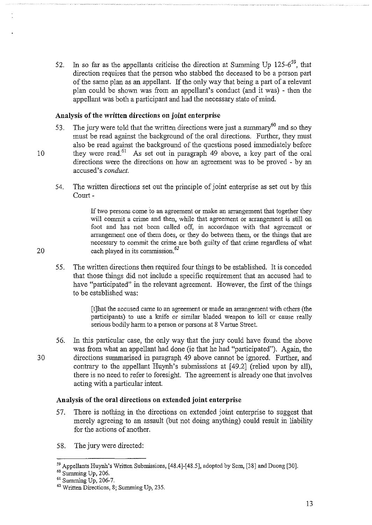52. In so far as the appellants criticise the direction at Summing Up  $125-6^{59}$ , that direction requires that the person who stabbed the deceased to be a person part of the same plan as an appellant. If the only way that being a part of a relevant plan could be shown was from an appellant's conduct (and it was) - then the appellant was both a participant and had the necessary state of mind.

## **Analysis of the written directions on joint enterprise**

- 53. The jury were told that the written directions were just a summary  $60$  and so they must be read against the background of the oral directions. Further, they must also be read against the background of the questions posed immediately before 10 they were read.<sup>61</sup> As set out in paragraph 49 above, a key part of the oral directions were the directions on how an agreement was to be proved - by an accused's *conduct.* 
	- 54. The written directions set out the principle of joint enterprise as set out by this Court-

If two persons come to an agreement or make an arrangement that together they will commit a crime and then, while that agreement or arrangement is still on foot and has not been called off, in accordance with that agreement or arrangement one of them does, or they do between them, or the things that are necessary to commit the crime are both guilty of that crime regardless of what 20 each played in its commission. $62$ 

55. The written directions then required four things to be established. It is conceded that those things did not include a specific requirement that an accused had to have "participated" in the relevant agreement. However, the first of the things to be established was:

> [t]hat the accused came to an agreement or made an arrangement with others (the participants) to use a knife or similar bladed weapon to kill or cause really serious bodily harm to a person or persons at 8 Vartue Street.

56. In this particular case, the only way that the jury could have found the above was from what an appellant had done (ie that he had "participated"). Again, the 30 directions summarised in paragraph 49 above carmot be ignored. Further, and contrary to the appellant Huynh's submissions at [49.2] (relied upon by all), there is no need to refer to foresight. The agreement is already one that involves acting with a particular intent.

## **Analysis of the oral directions on extended joint enterprise**

- 57. There is nothing in the directions on extended joint enterprise to suggest that merely agreeing to an assault (but not doing anything) could result in liability for the actions of another.
- 58. The jury were directed:

<sup>&</sup>lt;sup>59</sup> Appellants Huynh's Written Submissions, [48.4]-[48.5], adopted by Sem, [38] and Duong [30].<br><sup>60</sup> Summing Up, 206.<br><sup>61</sup> Summing Up, 206-7.

 $62$  Written Directions, 8; Summing Up, 235.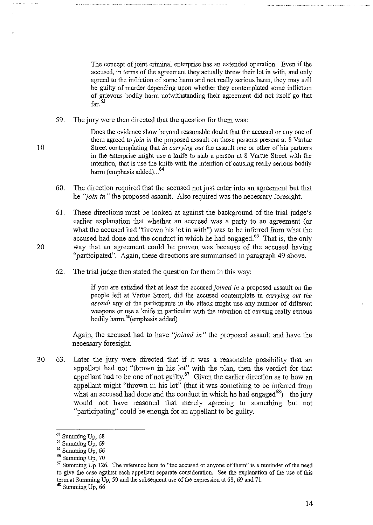The concept of joint criminal enterprise has an extended operation. Even if the accused, in terms of the agreement they actually threw their lot in with, and only agreed to the infliction of some harm and not really serious harm, they may still be guilty of murder depending upon whether they contemplated some infliction of grievous bodily harm notwithstanding their agreement did not itself go that  $far.<sup>63</sup>$ 

59. The jury were then directed that the question for them was:

Does the evidence show beyond reasonable doubt that the accused or any one of them agreed to *join in* the proposed assault on those persons present at 8 Vartue 10 Street contemplating that *in carrying out* the assault one or other of his partners in the enterprise might use a lmife to stab a person at 8 Vartue Street with the intention, that is use the knife with the intention of causing really serious bodily harm (emphasis added)...<sup>64</sup>

- 60. The direction required that the accused not just enter into an agreement but that he *''join in"* the proposed assault. Also required was the necessary foresight.
- 61. These directions must be looked at against the background of the trial judge's earlier explanation that whether an accused was a party to an agreement (or what the accused had ''thrown his lot in with") was to be inferred from what the accused had done and the conduct in which he had engaged.<sup>65</sup> That is, the only 20 way that an agreement could be proven was because of the accused having "participated". Again, these directions are summarised in paragraph 49 above.
	- 62. The trial judge then stated the question for them in this way:

If you are satisfied that at least the accused *joined in* a proposed assault on the people left at Vartue Street, did the accused contemplate in *carrying out the assault* any of the participants in the attack might use any number of different weapons or use a lmife in particular with the intention of causing really serious bodily harm.<sup>66</sup>(emphasis added)

Again, the accused had to have *''joined* in" the proposed assault and have the necessary foresight.

30 63. Later the jury were directed that if it was a reasonable possibility that an appellant had not "thrown in his lot" with the plan, then the verdict for that appellant had to be one of not guilty.<sup>67</sup> Given the earlier direction as to how an appellant might "thrown in his lot" (that it was something to be inferred from what an accused had done and the conduct in which he had engaged<sup>68</sup>) - the jury would not have reasoned that merely agreeing to something but not "participating" could be enough for an appellant to be guilty.

 $63$  Summing Up,  $68$ <br> $64$  Summing Up,  $69$ 

<sup>&</sup>lt;sup>65</sup> Summing Up, 66<sup>66</sup> Summing Up, 70

 $67$  Summing Up 126. The reference here to "the accused or anyone of them" is a reminder of the need to give the case against each appellant separate consideration. See the explanation of the use of this term at Summing Up, 59 and the subsequent use of the expression at 68, 69 and 71.<br><sup>68</sup> Summing Up, 66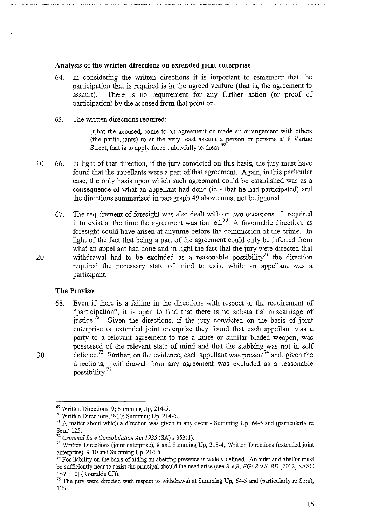#### **Analysis of the written directions on extended joint enterprise**

- 64. In considering the written directions it is important to remember that the participation that is required is in the agreed venture (that is, the agreement to assault). There is no requirement for any further action (or proof of participation) by the accused from that point on.
- 65. The written directions required:

[t]hat the accused, came to an agreement or made an arrangement with others (the participants) to at the very least assault a person or persons at 8 Vartue Street, that is to apply force unlawfully to them. *<sup>69</sup>*

- 10 66. In light of that direction, if the jury convicted on this basis, the jury must have found that the appellants were a part of that agreement. Again, in this particular case, the only basis upon which such agreement could be established was as a consequence of what an appellant had done (ie - that he had participated) and the directions summarised in paragraph 49 above must not be ignored.
- 67. The requirement of foresight was also dealt with on two occasions. It required it to exist at the time the agreement was formed.<sup>70</sup> A favourable direction, as foresight could have arisen at anytime before the commission of the crime. In light of the fact that being a part of the agreement could only be inferred from what an appellant had done and in light the fact that the jury were directed that 20 withdrawal had to be excluded as a reasonable possibility<sup>71</sup> the direction required the necessary state of mind to exist while an appellant was a participant.

#### **The Proviso**

68. Even if there is a failing in the directions with respect to the requirement of "participation", it is open to find that there is no substantial miscarriage of justice.<sup>72</sup> Given the directions, if the jury convicted on the basis of joint enterprise or extended joint enterprise they found that each appellant was a party to a relevant agreement to use a knife or similar bladed weapon, was possessed of the relevant state of mind and that the stabbing was not in self 30 defence.<sup>73</sup> Further, on the evidence, each appellant was present<sup>74</sup> and, given the directions, withdrawal from any agreement was excluded as a reasonable possibility.

<sup>69</sup> Written Directions, 9; Sunnning Up, 214-5.

<sup>70</sup> Written Directions, 9-10; Sunnning Up, 214-5.

 $^{71}$  A matter about which a direction was given in any event - Summing Up, 64-5 and (particularly re Sem) 125.

<sup>72</sup>*Criminal Law Consolidation Act 1935* (SA) s 353(1).

<sup>&</sup>lt;sup>73</sup> Written Directions (joint enterprise), 8 and Summing Up, 213-4; Written Directions (extended joint enterprise), 9-10 and Sunnning Up, 214-5.

 $74$  For liability on the basis of aiding an abetting presence is widely defined. An aider and abettor must be sufficiently near to assist the principal should the need arise (see  $R \nu B$ ,  $FG$ ;  $R \nu S$ ,  $BD$  [2012] SASC 157, [10] (Kourakis CJ)).

 $75$  The jury were directed with respect to withdrawal at Summing Up, 64-5 and (particularly re Sem), 125.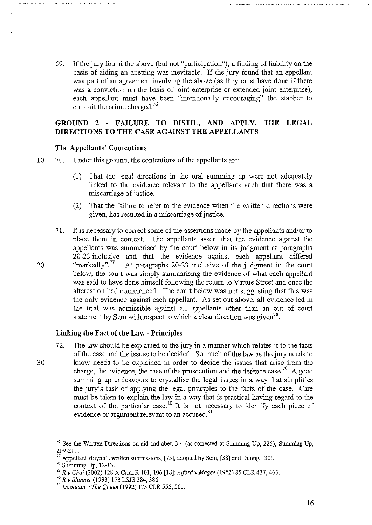69. If the jury found the above (but not "participation"), a fmding of liability on the basis of aiding an abetting was inevitable. If the jury found that an appellant was part of an agreement involving the above (as they must have done if there was a conviction on the basis of joint enterprise or extended joint enterprise), each appellant must have been "intentionally encouraging" the stabber to commit the crime charged.<sup>76</sup>

## **GROUND 2 - FAILURE TO DISTIL, AND APPLY, THE LEGAL DIRECTIONS TO THE CASE AGAINST THE APPELLANTS**

#### **The Appellants' Contentions**

- 10 70. Under this ground, the contentions of the appellants are:
	- (1) That the legal directions in the oral summing up were not adequately linked to the evidence relevant to the appellants such that there was a miscarriage of justice.
	- (2) That the failure to refer to the evidence when the written directions were given, has resulted in a miscarriage of justice.
- 71. It is necessary to correct some of the assertions made by the appellants and/or to place them in context. The appellants assert that the evidence against the appellants was summarised by the court below in its judgment at paragraphs 20-23 inclusive and that the evidence against each appellant differed "markedly".<sup>77</sup> At paragraphs 20-23 inclusive of the judgment in the court 20 "markedly".<sup>77</sup> At paragraphs 20-23 inclusive of the judgment in the court below, the court was simply summarising the evidence of what each appellant was said to have done himself following the return to Vartue Street and once the altercation had commenced. The court below was not suggesting that this was the only evidence against each appellant. As set out above, all evidence led in the trial was admissible against all appellants other than an out of court statement by Sem with respect to which a clear direction was given<sup>78</sup>.

#### **Linking the Fact of the Law- Principles**

72. The law should be explained to the jury in a marmer which relates it to the facts of the case and the issues to be decided. So much of the law as the jury needs to 30 lmow needs to be explained in order to decide the issues that arise from the charge, the evidence, the case of the prosecution and the defence case.<sup>79</sup> A good summing up endeavours to crystallise the legal issues in a way that simplifies the jury's task of applying the legal principles to the facts of the case. Care must be taken to explain the law in a way that is practical having regard to the context of the particular case.<sup>80</sup> It is not necessary to identify each piece of evidence or argument relevant to an accused.<sup>81</sup>

<sup>&</sup>lt;sup>76</sup> See the Written Directions on aid and abet,  $3-4$  (as corrected at Summing Up, 225); Summing Up, 209-211.

 $^{77}$  Appellant Huynh's written submissions, [75], adopted by Sem, [38] and Duong, [30].

<sup>&</sup>lt;sup>78</sup> Summing Up, 12-13.

<sup>79</sup>*R v Chai* (2002) 128 A Crim R 101, 106 [18]; *Alford v Magee* (1952) 85 CLR 437, 466.

<sup>&</sup>lt;sup>81</sup> Domican v The Queen (1992) 173 CLR 555, 561.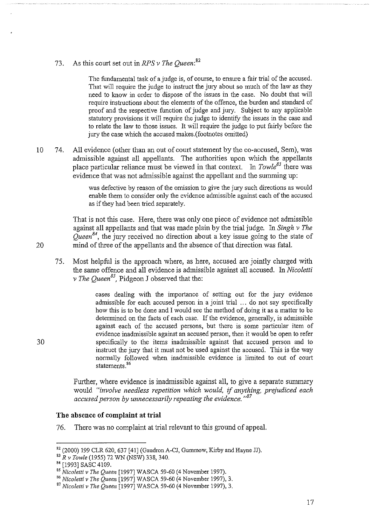73. As this court set out *inRPSv The Queen:82* 

The fundamental task of a judge is, of course, to ensure a fair trial of the accused. That will require the judge to instruct the jury about so much of the law as they need to know in order to dispose of the issues in the case. No doubt that will require instructions about the elements of the offence, the burden and standard of proof and the respective function of judge and jury. Subject to any applicable statutory provisions it will require the judge to identify the issues in the case and to relate the law to those issues. It will require the judge to put fairly before the jury the case which the accused makes.(footnotes omitted)

10 74. All evidence (other than an out of court statement by the co-accused, Sem), was admissible against all appellants. The authorities upon which the appellants place particular reliance must be viewed in that context. In *Towle<sup>83</sup>* there was evidence that was not admissible against the appellant and the summing up:

> was defective by reason of the omission to give the jury such directions as would enable them to consider only the evidence admissible against each of the accused as if they had been tried separately.

That is not this case. Here, there was only one piece of evidence not admissible against all appellants and that was made plain by the trial judge. In *Singh v The Queen84,* the jury received no direction about a key issue going to the state of 20 mind of three of the appellants and the absence of that direction was fatal.

75. Most helpful is the approach where, as here, accused are jointly charged with the same offence and all evidence is admissible against all accused. In *Nicoletti v The Queen85,* Pidgeon J observed that the:

cases dealing with the importance of setting out for the jury evidence admissible for each accused person in a joint trial ... do not say specifically how this is to be done and I would see the method of doing it as a matter to be determined on the facts of each case. If the evidence, generally, is admissible against each of the accused persons, but there is some particular item of evidence inadmissible against an accused person, then it would be open to refer 30 specifically to the items inadmissible against that accused person and to instruct the jury that it must not be used against the accused. This is the way normally followed when inadmissible evidence is limited to out of court statements. 86

> Further, where evidence is inadmissible against all, to give a separate summary would *"involve needless repetition which would,* if *anything, prejudiced each accused person by unnecessarily repeating the evidence. "<sup>87</sup>*

#### **The absence of complaint at trial**

76. There was no complaint at trial relevant to this ground of appeal.

 $82$  (2000) 199 CLR 620, 637 [41] (Gaudron A-CJ, Gummow, Kirby and Hayne JJ).<br> $83$  R v Towle (1955) 72 WN (NSW) 338, 340.

<sup>&</sup>lt;sup>84</sup> [1993] SASC 4109.<br><sup>85</sup> *Nicoletti v The Queen* [1997] WASCA 59-60 (4 November 1997).<br><sup>86</sup> *Nicoletti v The Queen* [1997] WASCA 59-60 (4 November 1997), 3.

<sup>87</sup> *Nicoletti v The Queen* [1997] WASCA 59-60 (4 November 1997), 3.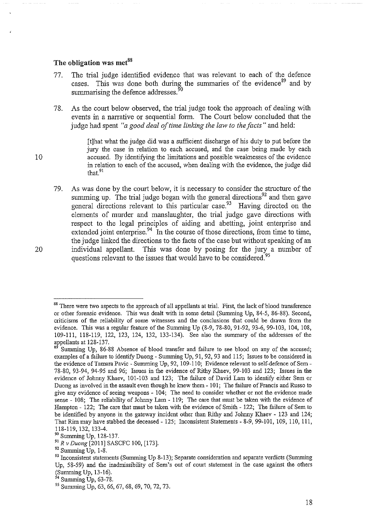#### **The obligation was met<sup>88</sup>**

- 77. The trial judge identified evidence that was relevant to each of the defence cases. This was done both during the summaries of the evidence<sup>89</sup> and by summarising the defence addresses.<sup>9</sup>
- 78. As the court below observed, the trial judge took the approach of dealing with events in a narrative or sequential form. The Court below concluded that the judge had spent *"a good deal of time linking the law to the facts"* and held:

[t]hat what the judge did was a sufficient discharge of his duty to put before the jury the case in relation to each accused, and the case being made by each 10 accused. By identifying the limitations and possible weaknesses of the evidence in relation to each of the accused, when dealing with the evidence, the judge did that.<sup>91</sup>

79. As was done by the court below, it is necessary to consider the structure of the summing up. The trial judge began with the general directions<sup>92</sup> and then gave general directions relevant to this particular case.<sup>93</sup> Having directed on the elements of murder and manslaughter, the trial judge gave directions with respect to the legal principles of aiding and abetting, joint enterprise and extended joint enterprise.  $94$  In the course of those directions, from time to time, the judge linked the directions to the facts of the case but without speaking of an 20 individual appellant. This was done by posing for the jury a number of questions relevant to the issues that would have to be considered.<sup>95</sup>

<sup>&</sup>lt;sup>88</sup> There were two aspects to the approach of all appellants at trial. First, the lack of blood transference or other forensic evidence. This was dealt with in some detail (Summing Up, 84-5, 86-88). Second, criticisms of the reliability of some witnesses and the conclusions that could be drawn from the evidence. This was a regular feature of the Summing Up (8-9, 78-80, 91-92, 93-6, 99-103, 104, 108, 109-111, 118-119, 122, 123, 124, 132, 133-134). See also the summary of the addresses of the appellants at  $128-137$ .

Summing Up, 86-88 Absence of blood transfer and failure to see blood on any of the accused; examples of a failure to identify Duong- Summing Up, 91, 92, 93 and 115; Issues to be considered in the evidence of Tamara Pavic - Summing Up, 92, 109-110; Evidence relevant to self-defence of Sem-78-80, 93-94, 94-95 and 96; Issues in the evidence of Rithy Khaev, 99-103 and 123; Issues in the evidence of Johnny Khaev, 101-103 and 123; The failnre of David Lam to identify either Sern or Duong as involved in the assault even though he knew them- 101; The failure of Francis and Russo to give any evidence of seeing weapons - 104; The need to consider whether or not the evidence made sense- 108; The reliability of Johnny Lam- 119; The care that must be taken with the evidence of Hampton - 122; The care that must be taken with the evidence of Smith - 122; The failure of Sem to be identified by anyone in the gateway incident other than Rithy and Johnny Khaev - 123 and 124; That *Rim* may have stabbed the deceased- 125; Inconsistent Statements- 8-9, 99-101, 109, 110, Ill,

<sup>118-119, 132, 133-4.&</sup>lt;br><sup>90</sup> Summing Up, 128-137.

<sup>91</sup>*R v Duong* [2011] SASCFC 100, [173]. 92 Summing Up, 1-8.

<sup>&</sup>lt;sup>93</sup> Inconsistent statements (Summing Up 8-13); Separate consideration and separate verdicts (Summing Up, 58-59) and the inadmissibility of Sem's out of court statement in the case against the others (Summing Up, 13-16).<br><sup>94</sup> Summing Up, 63-78.

<sup>&</sup>lt;sup>95</sup> Summing Up, 63, 66, 67, 68, 69, 70, 72, 73.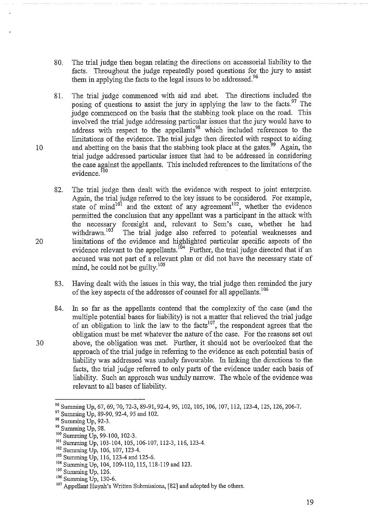- 80. The trial judge then began relating the directions on accessorial liability to the facts. Throughout the judge repeatedly posed questions for the jury to assist them in applying the facts to the legal issues to be addressed.<sup>96</sup>
- 81. The trial judge commenced with aid and abet. The directions included the posing of questions to assist the jury in applying the law to the facts. <sup>97</sup> The judge commenced on the basis that the stabbing took place on the road. This involved the trial judge addressing particular issues that the jury would have to address with respect to the appellants<sup>98</sup> which included references to the limitations of the evidence. The trial judge then directed with respect to aiding 10 and abetting on the basis that the stabbing took place at the gates.<sup>99</sup> Again, the trial judge addressed particular issues that had to be addressed in considering the case against the appellants. This included references to the limitations of the evidence.<sup>100</sup>
- 82. The trial judge then dealt with the evidence with respect to joint enterprise. Again, the trial judge referred to the key issues to be considered. For example, state of mind<sup>101</sup> and the extent of any agreement<sup>102</sup>, whether the evidence permitted the conclusion that any appellant was a participant in the attack with the necessary foresight and, relevant to Sem's case, whether he had withdrawn.<sup>103</sup> The trial judge also referred to potential weaknesses and The trial judge also referred to potential weaknesses and 20 limitations of the evidence and highlighted particular specific aspects of the evidence relevant to the appellants.<sup>104</sup> Further, the trial judge directed that if an accused was not part of a relevant plan or did not have the necessary state of mind, he could not be guilty.<sup>105</sup>
	- 83. Having dealt with the issues in this way, the trial judge then reminded the jury of the key aspects of the addresses of counsel for all appellants.<sup>106</sup>
- 84. In so far as the appellants contend that the complexity of the case (and the multiple potential bases for liability) is not a matter that relieved the trial judge of an obligation to link the law to the facts<sup>107</sup>, the respondent agrees that the obligation must be met whatever the nature of the case. For the reasons set out 30 above, the obligation was met. Further, it should not be overlooked that the approach of the trial judge in referring to the evidence as each potential basis of liability was addressed was nuduly favourable. In linking the directions to the facts, the trial judge referred to only parts of the evidence under each basis of liability. Such an approach was unduly narrow. The whole of the evidence was relevant to all bases of liability.

<sup>&</sup>lt;sup>96</sup> Summing Up, 67, 69, 70, 72-3, 89-91, 92-4, 95, 102, 105, 106, 107, 112, 123-4, 125, 126, 206-7.<br><sup>97</sup> Summing Up, 89-90, 92-4, 95 and 102.<br><sup>98</sup> Summing Up, 92-3.<br><sup>99</sup> Summing Up, 98.<br><sup>99</sup> Summing Up, 98.<br><sup>101</sup> Summing